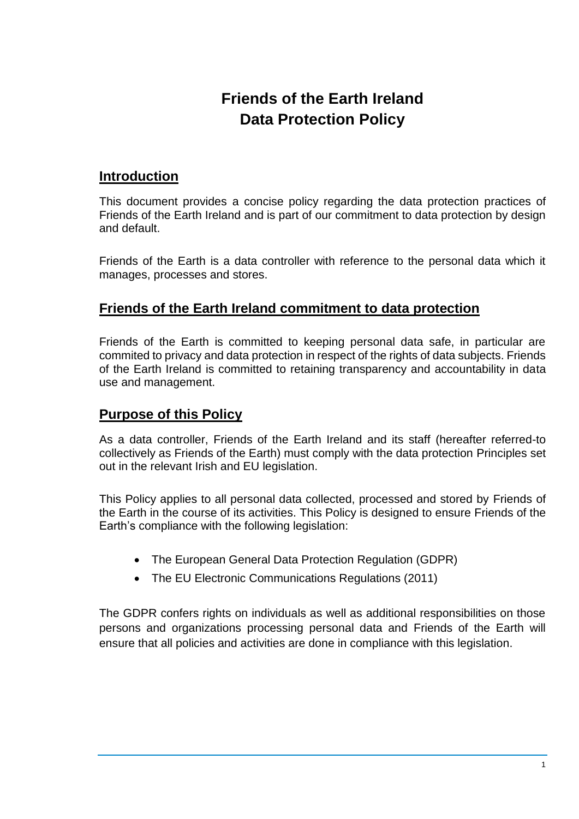# **Friends of the Earth Ireland Data Protection Policy**

### **Introduction**

This document provides a concise policy regarding the data protection practices of Friends of the Earth Ireland and is part of our commitment to data protection by design and default.

Friends of the Earth is a data controller with reference to the personal data which it manages, processes and stores.

### **Friends of the Earth Ireland commitment to data protection**

Friends of the Earth is committed to keeping personal data safe, in particular are commited to privacy and data protection in respect of the rights of data subjects. Friends of the Earth Ireland is committed to retaining transparency and accountability in data use and management.

### **Purpose of this Policy**

As a data controller, Friends of the Earth Ireland and its staff (hereafter referred-to collectively as Friends of the Earth) must comply with the data protection Principles set out in the relevant Irish and EU legislation.

This Policy applies to all personal data collected, processed and stored by Friends of the Earth in the course of its activities. This Policy is designed to ensure Friends of the Earth's compliance with the following legislation:

- The European General Data Protection Regulation (GDPR)
- The EU Electronic Communications Regulations (2011)

The GDPR confers rights on individuals as well as additional responsibilities on those persons and organizations processing personal data and Friends of the Earth will ensure that all policies and activities are done in compliance with this legislation.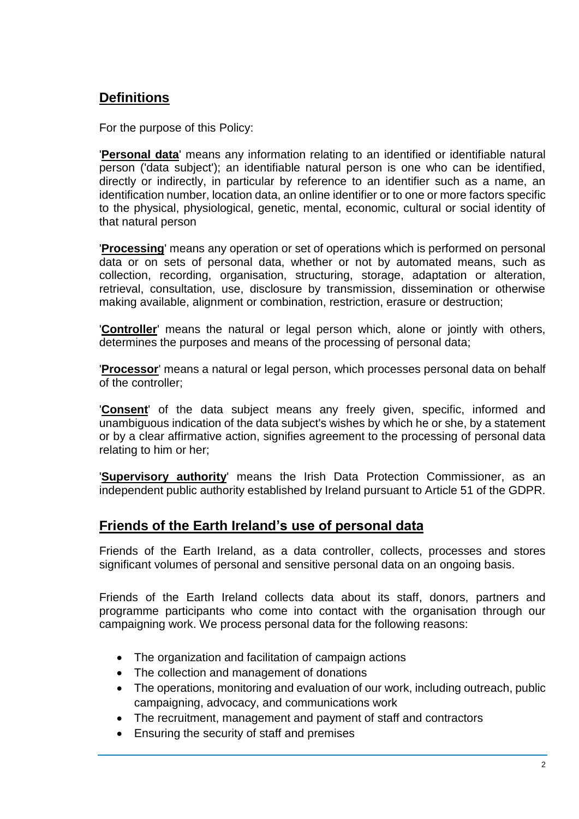# **Definitions**

For the purpose of this Policy:

'**Personal data**' means any information relating to an identified or identifiable natural person ('data subject'); an identifiable natural person is one who can be identified, directly or indirectly, in particular by reference to an identifier such as a name, an identification number, location data, an online identifier or to one or more factors specific to the physical, physiological, genetic, mental, economic, cultural or social identity of that natural person

'**Processing**' means any operation or set of operations which is performed on personal data or on sets of personal data, whether or not by automated means, such as collection, recording, organisation, structuring, storage, adaptation or alteration, retrieval, consultation, use, disclosure by transmission, dissemination or otherwise making available, alignment or combination, restriction, erasure or destruction;

'**Controller**' means the natural or legal person which, alone or jointly with others, determines the purposes and means of the processing of personal data;

'**Processor**' means a natural or legal person, which processes personal data on behalf of the controller;

'**Consent**' of the data subject means any freely given, specific, informed and unambiguous indication of the data subject's wishes by which he or she, by a statement or by a clear affirmative action, signifies agreement to the processing of personal data relating to him or her;

'**Supervisory authority**' means the Irish Data Protection Commissioner, as an independent public authority established by Ireland pursuant to Article 51 of the GDPR.

### **Friends of the Earth Ireland's use of personal data**

Friends of the Earth Ireland, as a data controller, collects, processes and stores significant volumes of personal and sensitive personal data on an ongoing basis.

Friends of the Earth Ireland collects data about its staff, donors, partners and programme participants who come into contact with the organisation through our campaigning work. We process personal data for the following reasons:

- The organization and facilitation of campaign actions
- The collection and management of donations
- The operations, monitoring and evaluation of our work, including outreach, public campaigning, advocacy, and communications work
- The recruitment, management and payment of staff and contractors
- Ensuring the security of staff and premises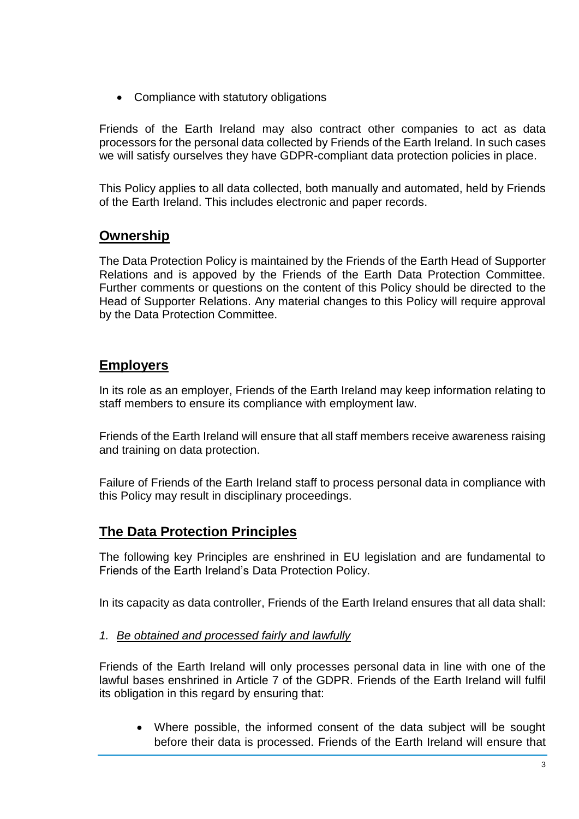• Compliance with statutory obligations

Friends of the Earth Ireland may also contract other companies to act as data processors for the personal data collected by Friends of the Earth Ireland. In such cases we will satisfy ourselves they have GDPR-compliant data protection policies in place.

This Policy applies to all data collected, both manually and automated, held by Friends of the Earth Ireland. This includes electronic and paper records.

# **Ownership**

The Data Protection Policy is maintained by the Friends of the Earth Head of Supporter Relations and is appoved by the Friends of the Earth Data Protection Committee. Further comments or questions on the content of this Policy should be directed to the Head of Supporter Relations. Any material changes to this Policy will require approval by the Data Protection Committee.

## **Employers**

In its role as an employer, Friends of the Earth Ireland may keep information relating to staff members to ensure its compliance with employment law.

Friends of the Earth Ireland will ensure that all staff members receive awareness raising and training on data protection.

Failure of Friends of the Earth Ireland staff to process personal data in compliance with this Policy may result in disciplinary proceedings.

# **The Data Protection Principles**

The following key Principles are enshrined in EU legislation and are fundamental to Friends of the Earth Ireland's Data Protection Policy.

In its capacity as data controller, Friends of the Earth Ireland ensures that all data shall:

#### *1. Be obtained and processed fairly and lawfully*

Friends of the Earth Ireland will only processes personal data in line with one of the lawful bases enshrined in Article 7 of the GDPR. Friends of the Earth Ireland will fulfil its obligation in this regard by ensuring that:

 Where possible, the informed consent of the data subject will be sought before their data is processed. Friends of the Earth Ireland will ensure that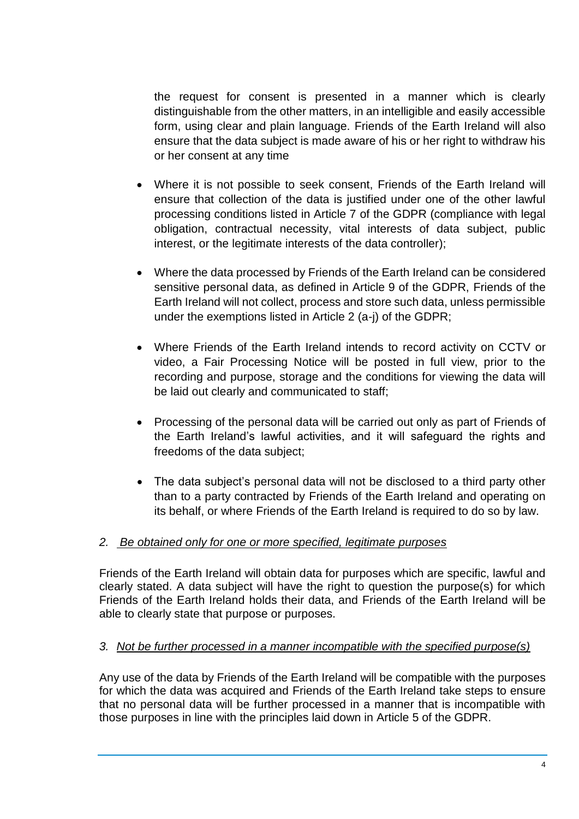the request for consent is presented in a manner which is clearly distinguishable from the other matters, in an intelligible and easily accessible form, using clear and plain language. Friends of the Earth Ireland will also ensure that the data subject is made aware of his or her right to withdraw his or her consent at any time

- Where it is not possible to seek consent, Friends of the Earth Ireland will ensure that collection of the data is justified under one of the other lawful processing conditions listed in Article 7 of the GDPR (compliance with legal obligation, contractual necessity, vital interests of data subject, public interest, or the legitimate interests of the data controller);
- Where the data processed by Friends of the Earth Ireland can be considered sensitive personal data, as defined in Article 9 of the GDPR, Friends of the Earth Ireland will not collect, process and store such data, unless permissible under the exemptions listed in Article 2 (a-j) of the GDPR;
- Where Friends of the Earth Ireland intends to record activity on CCTV or video, a Fair Processing Notice will be posted in full view, prior to the recording and purpose, storage and the conditions for viewing the data will be laid out clearly and communicated to staff;
- Processing of the personal data will be carried out only as part of Friends of the Earth Ireland's lawful activities, and it will safeguard the rights and freedoms of the data subject;
- The data subject's personal data will not be disclosed to a third party other than to a party contracted by Friends of the Earth Ireland and operating on its behalf, or where Friends of the Earth Ireland is required to do so by law.

#### *2. Be obtained only for one or more specified, legitimate purposes*

Friends of the Earth Ireland will obtain data for purposes which are specific, lawful and clearly stated. A data subject will have the right to question the purpose(s) for which Friends of the Earth Ireland holds their data, and Friends of the Earth Ireland will be able to clearly state that purpose or purposes.

#### *3. Not be further processed in a manner incompatible with the specified purpose(s)*

Any use of the data by Friends of the Earth Ireland will be compatible with the purposes for which the data was acquired and Friends of the Earth Ireland take steps to ensure that no personal data will be further processed in a manner that is incompatible with those purposes in line with the principles laid down in Article 5 of the GDPR.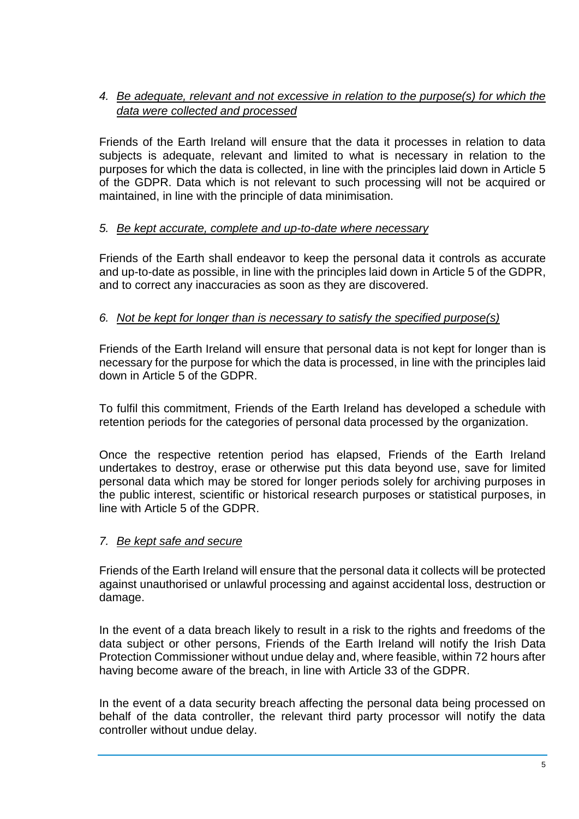#### *4. Be adequate, relevant and not excessive in relation to the purpose(s) for which the data were collected and processed*

Friends of the Earth Ireland will ensure that the data it processes in relation to data subjects is adequate, relevant and limited to what is necessary in relation to the purposes for which the data is collected, in line with the principles laid down in Article 5 of the GDPR. Data which is not relevant to such processing will not be acquired or maintained, in line with the principle of data minimisation.

#### *5. Be kept accurate, complete and up-to-date where necessary*

Friends of the Earth shall endeavor to keep the personal data it controls as accurate and up-to-date as possible, in line with the principles laid down in Article 5 of the GDPR, and to correct any inaccuracies as soon as they are discovered.

#### *6. Not be kept for longer than is necessary to satisfy the specified purpose(s)*

Friends of the Earth Ireland will ensure that personal data is not kept for longer than is necessary for the purpose for which the data is processed, in line with the principles laid down in Article 5 of the GDPR.

To fulfil this commitment, Friends of the Earth Ireland has developed a schedule with retention periods for the categories of personal data processed by the organization.

Once the respective retention period has elapsed, Friends of the Earth Ireland undertakes to destroy, erase or otherwise put this data beyond use, save for limited personal data which may be stored for longer periods solely for archiving purposes in the public interest, scientific or historical research purposes or statistical purposes, in line with Article 5 of the GDPR.

#### *7. Be kept safe and secure*

Friends of the Earth Ireland will ensure that the personal data it collects will be protected against unauthorised or unlawful processing and against accidental loss, destruction or damage.

In the event of a data breach likely to result in a risk to the rights and freedoms of the data subject or other persons, Friends of the Earth Ireland will notify the Irish Data Protection Commissioner without undue delay and, where feasible, within 72 hours after having become aware of the breach, in line with Article 33 of the GDPR.

In the event of a data security breach affecting the personal data being processed on behalf of the data controller, the relevant third party processor will notify the data controller without undue delay.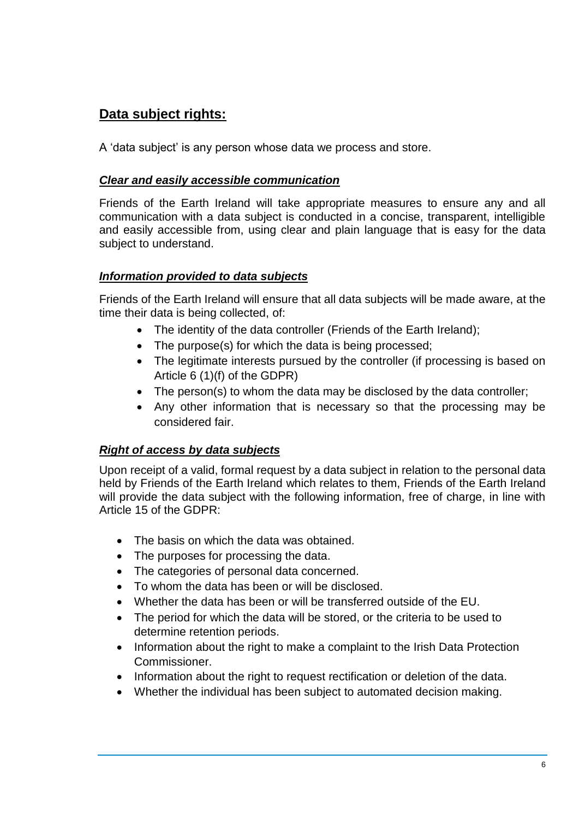# **Data subject rights:**

A 'data subject' is any person whose data we process and store.

#### *Clear and easily accessible communication*

Friends of the Earth Ireland will take appropriate measures to ensure any and all communication with a data subject is conducted in a concise, transparent, intelligible and easily accessible from, using clear and plain language that is easy for the data subject to understand.

### *Information provided to data subjects*

Friends of the Earth Ireland will ensure that all data subjects will be made aware, at the time their data is being collected, of:

- The identity of the data controller (Friends of the Earth Ireland);
- The purpose(s) for which the data is being processed;
- The legitimate interests pursued by the controller (if processing is based on Article 6 (1)(f) of the GDPR)
- The person(s) to whom the data may be disclosed by the data controller;
- Any other information that is necessary so that the processing may be considered fair.

### *Right of access by data subjects*

Upon receipt of a valid, formal request by a data subject in relation to the personal data held by Friends of the Earth Ireland which relates to them, Friends of the Earth Ireland will provide the data subject with the following information, free of charge, in line with Article 15 of the GDPR:

- The basis on which the data was obtained.
- The purposes for processing the data.
- The categories of personal data concerned.
- To whom the data has been or will be disclosed.
- Whether the data has been or will be transferred outside of the EU.
- The period for which the data will be stored, or the criteria to be used to determine retention periods.
- Information about the right to make a complaint to the Irish Data Protection Commissioner.
- Information about the right to request rectification or deletion of the data.
- Whether the individual has been subject to automated decision making.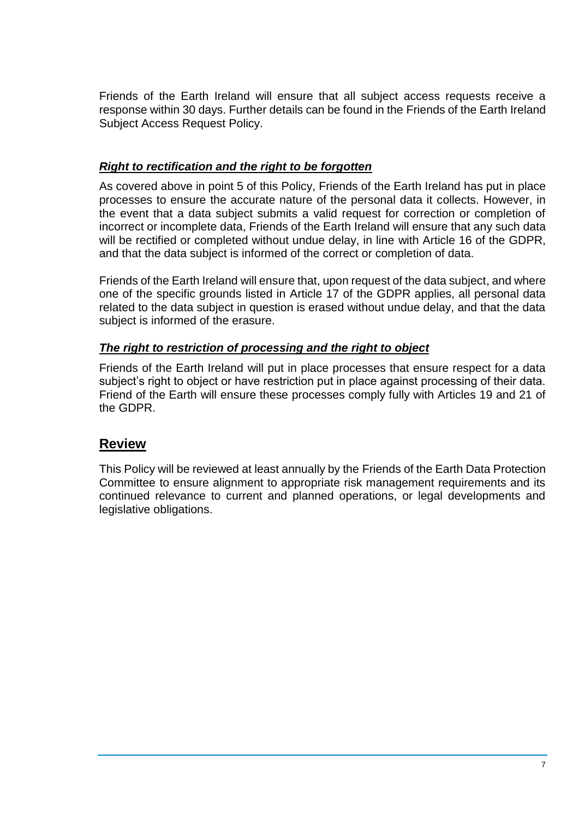Friends of the Earth Ireland will ensure that all subject access requests receive a response within 30 days. Further details can be found in the Friends of the Earth Ireland Subject Access Request Policy.

#### *Right to rectification and the right to be forgotten*

As covered above in point 5 of this Policy, Friends of the Earth Ireland has put in place processes to ensure the accurate nature of the personal data it collects. However, in the event that a data subject submits a valid request for correction or completion of incorrect or incomplete data, Friends of the Earth Ireland will ensure that any such data will be rectified or completed without undue delay, in line with Article 16 of the GDPR. and that the data subject is informed of the correct or completion of data.

Friends of the Earth Ireland will ensure that, upon request of the data subject, and where one of the specific grounds listed in Article 17 of the GDPR applies, all personal data related to the data subject in question is erased without undue delay, and that the data subject is informed of the erasure.

#### *The right to restriction of processing and the right to object*

Friends of the Earth Ireland will put in place processes that ensure respect for a data subject's right to object or have restriction put in place against processing of their data. Friend of the Earth will ensure these processes comply fully with Articles 19 and 21 of the GDPR.

### **Review**

This Policy will be reviewed at least annually by the Friends of the Earth Data Protection Committee to ensure alignment to appropriate risk management requirements and its continued relevance to current and planned operations, or legal developments and legislative obligations.